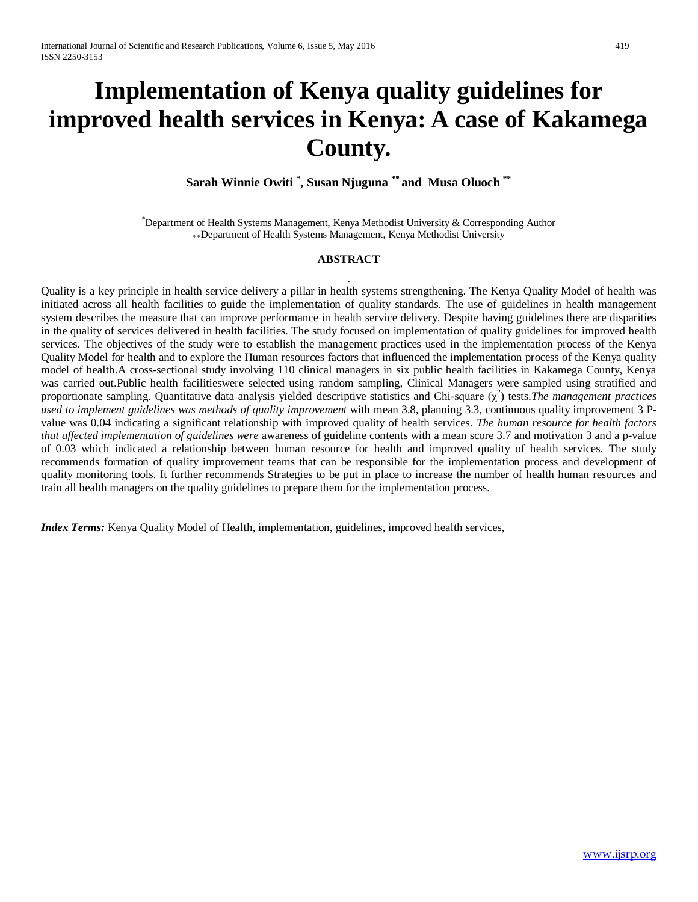# **Implementation of Kenya quality guidelines for improved health services in Kenya: A case of Kakamega County.**

**Sarah Winnie Owiti \* , Susan Njuguna \*\* and Musa Oluoch \*\***

\* Department of Health Systems Management, Kenya Methodist University & Corresponding Author \*\*Department of Health Systems Management, Kenya Methodist University

# **ABSTRACT**

. Quality is a key principle in health service delivery a pillar in health systems strengthening. The Kenya Quality Model of health was initiated across all health facilities to guide the implementation of quality standards. The use of guidelines in health management system describes the measure that can improve performance in health service delivery. Despite having guidelines there are disparities in the quality of services delivered in health facilities. The study focused on implementation of quality guidelines for improved health services. The objectives of the study were to establish the management practices used in the implementation process of the Kenya Quality Model for health and to explore the Human resources factors that influenced the implementation process of the Kenya quality model of health.A cross-sectional study involving 110 clinical managers in six public health facilities in Kakamega County, Kenya was carried out.Public health facilitieswere selected using random sampling, Clinical Managers were sampled using stratified and proportionate sampling. Quantitative data analysis yielded descriptive statistics and Chi-square  $(\chi^2)$  tests. The management practices *used to implement guidelines was methods of quality improvement* with mean 3.8, planning 3.3, continuous quality improvement 3 Pvalue was 0.04 indicating a significant relationship with improved quality of health services. *The human resource for health factors that affected implementation of guidelines were* awareness of guideline contents with a mean score 3.7 and motivation 3 and a p-value of 0.03 which indicated a relationship between human resource for health and improved quality of health services. The study recommends formation of quality improvement teams that can be responsible for the implementation process and development of quality monitoring tools. It further recommends Strategies to be put in place to increase the number of health human resources and train all health managers on the quality guidelines to prepare them for the implementation process.

*Index Terms:* Kenya Quality Model of Health*,* implementation, guidelines, improved health services,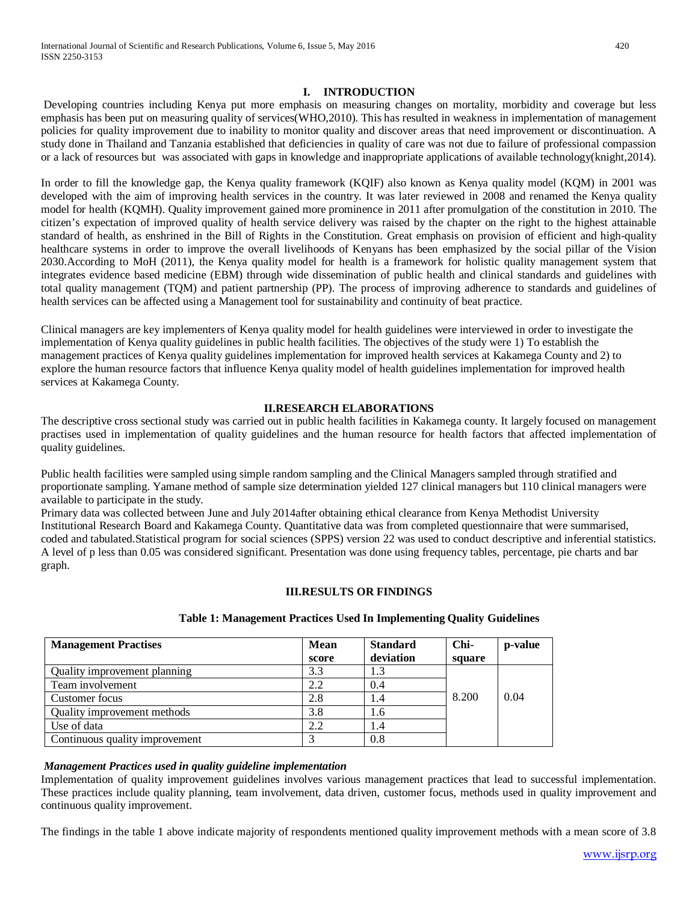#### **I. INTRODUCTION**

Developing countries including Kenya put more emphasis on measuring changes on mortality, morbidity and coverage but less emphasis has been put on measuring quality of services(WHO,2010). This has resulted in weakness in implementation of management policies for quality improvement due to inability to monitor quality and discover areas that need improvement or discontinuation. A study done in Thailand and Tanzania established that deficiencies in quality of care was not due to failure of professional compassion or a lack of resources but was associated with gaps in knowledge and inappropriate applications of available technology(knight,2014).

In order to fill the knowledge gap, the Kenya quality framework (KQIF) also known as Kenya quality model (KQM) in 2001 was developed with the aim of improving health services in the country. It was later reviewed in 2008 and renamed the Kenya quality model for health (KQMH). Quality improvement gained more prominence in 2011 after promulgation of the constitution in 2010. The citizen's expectation of improved quality of health service delivery was raised by the chapter on the right to the highest attainable standard of health, as enshrined in the Bill of Rights in the Constitution. Great emphasis on provision of efficient and high-quality healthcare systems in order to improve the overall livelihoods of Kenyans has been emphasized by the social pillar of the Vision 2030.According to MoH (2011), the Kenya quality model for health is a framework for holistic quality management system that integrates evidence based medicine (EBM) through wide dissemination of public health and clinical standards and guidelines with total quality management (TQM) and patient partnership (PP). The process of improving adherence to standards and guidelines of health services can be affected using a Management tool for sustainability and continuity of beat practice.

Clinical managers are key implementers of Kenya quality model for health guidelines were interviewed in order to investigate the implementation of Kenya quality guidelines in public health facilities. The objectives of the study were 1) To establish the management practices of Kenya quality guidelines implementation for improved health services at Kakamega County and 2) to explore the human resource factors that influence Kenya quality model of health guidelines implementation for improved health services at Kakamega County.

#### **II.RESEARCH ELABORATIONS**

The descriptive cross sectional study was carried out in public health facilities in Kakamega county. It largely focused on management practises used in implementation of quality guidelines and the human resource for health factors that affected implementation of quality guidelines.

Public health facilities were sampled using simple random sampling and the Clinical Managers sampled through stratified and proportionate sampling. Yamane method of sample size determination yielded 127 clinical managers but 110 clinical managers were available to participate in the study.

Primary data was collected between June and July 2014after obtaining ethical clearance from Kenya Methodist University Institutional Research Board and Kakamega County. Quantitative data was from completed questionnaire that were summarised, coded and tabulated.Statistical program for social sciences (SPPS) version 22 was used to conduct descriptive and inferential statistics. A level of p less than 0.05 was considered significant. Presentation was done using frequency tables, percentage, pie charts and bar graph.

## **III.RESULTS OR FINDINGS**

| <b>Management Practises</b>    | <b>Mean</b><br>score | <b>Standard</b><br>deviation | Chi-<br>square | p-value |
|--------------------------------|----------------------|------------------------------|----------------|---------|
| Quality improvement planning   | 3.3                  | 1.3                          |                |         |
| Team involvement               | 2.2                  | 0.4                          |                |         |
| Customer focus                 | 2.8                  | 1.4                          | 8.200          | 0.04    |
| Quality improvement methods    | 3.8                  | 1.6                          |                |         |
| Use of data                    | 2.2                  | 1.4                          |                |         |
| Continuous quality improvement |                      | 0.8                          |                |         |

## **Table 1: Management Practices Used In Implementing Quality Guidelines**

## *Management Practices used in quality guideline implementation*

Implementation of quality improvement guidelines involves various management practices that lead to successful implementation. These practices include quality planning, team involvement, data driven, customer focus, methods used in quality improvement and continuous quality improvement.

The findings in the table 1 above indicate majority of respondents mentioned quality improvement methods with a mean score of 3.8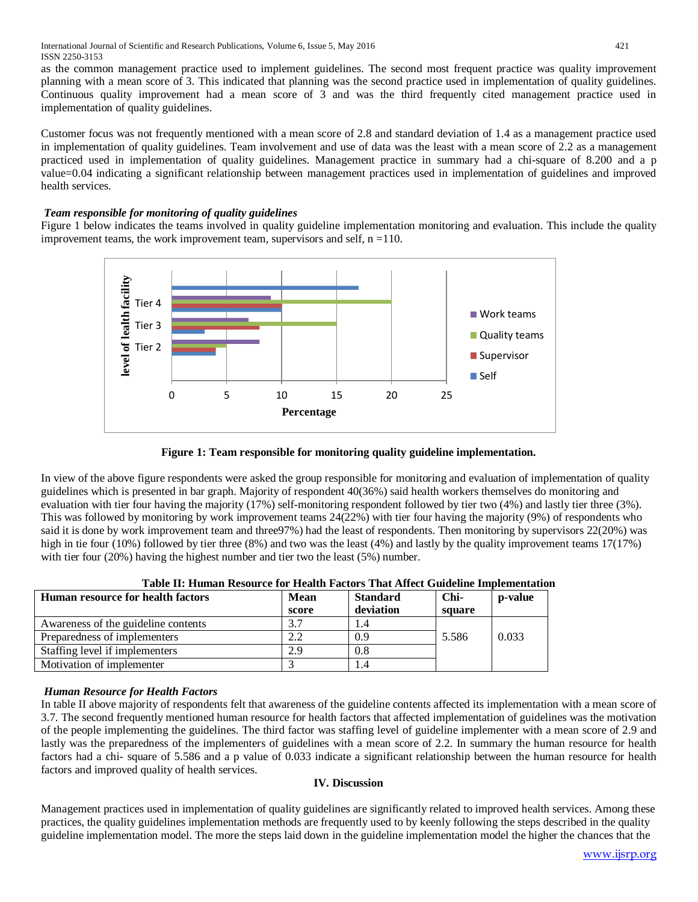as the common management practice used to implement guidelines. The second most frequent practice was quality improvement planning with a mean score of 3. This indicated that planning was the second practice used in implementation of quality guidelines. Continuous quality improvement had a mean score of 3 and was the third frequently cited management practice used in implementation of quality guidelines.

Customer focus was not frequently mentioned with a mean score of 2.8 and standard deviation of 1.4 as a management practice used in implementation of quality guidelines. Team involvement and use of data was the least with a mean score of 2.2 as a management practiced used in implementation of quality guidelines. Management practice in summary had a chi-square of 8.200 and a p value=0.04 indicating a significant relationship between management practices used in implementation of guidelines and improved health services.

# *Team responsible for monitoring of quality guidelines*

Figure 1 below indicates the teams involved in quality guideline implementation monitoring and evaluation. This include the quality improvement teams, the work improvement team, supervisors and self,  $n = 110$ .



**Figure 1: Team responsible for monitoring quality guideline implementation.**

In view of the above figure respondents were asked the group responsible for monitoring and evaluation of implementation of quality guidelines which is presented in bar graph. Majority of respondent 40(36%) said health workers themselves do monitoring and evaluation with tier four having the majority (17%) self-monitoring respondent followed by tier two (4%) and lastly tier three (3%). This was followed by monitoring by work improvement teams 24(22%) with tier four having the majority (9%) of respondents who said it is done by work improvement team and three97%) had the least of respondents. Then monitoring by supervisors 22(20%) was high in tie four (10%) followed by tier three (8%) and two was the least (4%) and lastly by the quality improvement teams 17(17%) with tier four (20%) having the highest number and tier two the least (5%) number.

| Human resource for health factors   | Mean<br>score | <b>Standard</b><br>deviation | Chi-<br>square | p-value |
|-------------------------------------|---------------|------------------------------|----------------|---------|
| Awareness of the guideline contents | 3.7           |                              |                |         |
| Preparedness of implementers        | 2.2           | 0.9                          | 5.586          | 0.033   |
| Staffing level if implementers      | 2.9           | 0.8                          |                |         |
| Motivation of implementer           |               |                              |                |         |

| Table II: Human Resource for Health Factors That Affect Guideline Implementation |  |  |  |
|----------------------------------------------------------------------------------|--|--|--|
|                                                                                  |  |  |  |

## *Human Resource for Health Factors*

In table II above majority of respondents felt that awareness of the guideline contents affected its implementation with a mean score of 3.7. The second frequently mentioned human resource for health factors that affected implementation of guidelines was the motivation of the people implementing the guidelines. The third factor was staffing level of guideline implementer with a mean score of 2.9 and lastly was the preparedness of the implementers of guidelines with a mean score of 2.2. In summary the human resource for health factors had a chi- square of 5.586 and a p value of 0.033 indicate a significant relationship between the human resource for health factors and improved quality of health services.

## **IV. Discussion**

Management practices used in implementation of quality guidelines are significantly related to improved health services. Among these practices, the quality guidelines implementation methods are frequently used to by keenly following the steps described in the quality guideline implementation model. The more the steps laid down in the guideline implementation model the higher the chances that the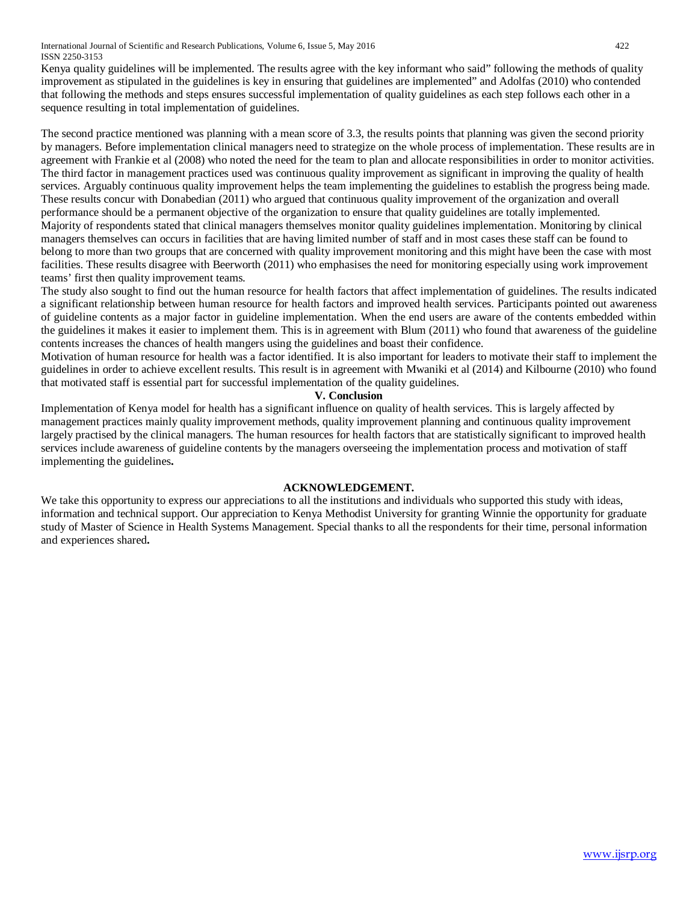International Journal of Scientific and Research Publications, Volume 6, Issue 5, May 2016 422 ISSN 2250-3153

Kenya quality guidelines will be implemented. The results agree with the key informant who said" following the methods of quality improvement as stipulated in the guidelines is key in ensuring that guidelines are implemented" and Adolfas (2010) who contended that following the methods and steps ensures successful implementation of quality guidelines as each step follows each other in a sequence resulting in total implementation of guidelines.

The second practice mentioned was planning with a mean score of 3.3, the results points that planning was given the second priority by managers. Before implementation clinical managers need to strategize on the whole process of implementation. These results are in agreement with Frankie et al (2008) who noted the need for the team to plan and allocate responsibilities in order to monitor activities. The third factor in management practices used was continuous quality improvement as significant in improving the quality of health services. Arguably continuous quality improvement helps the team implementing the guidelines to establish the progress being made. These results concur with Donabedian (2011) who argued that continuous quality improvement of the organization and overall performance should be a permanent objective of the organization to ensure that quality guidelines are totally implemented. Majority of respondents stated that clinical managers themselves monitor quality guidelines implementation. Monitoring by clinical managers themselves can occurs in facilities that are having limited number of staff and in most cases these staff can be found to belong to more than two groups that are concerned with quality improvement monitoring and this might have been the case with most facilities. These results disagree with Beerworth (2011) who emphasises the need for monitoring especially using work improvement teams' first then quality improvement teams.

The study also sought to find out the human resource for health factors that affect implementation of guidelines. The results indicated a significant relationship between human resource for health factors and improved health services. Participants pointed out awareness of guideline contents as a major factor in guideline implementation. When the end users are aware of the contents embedded within the guidelines it makes it easier to implement them. This is in agreement with Blum (2011) who found that awareness of the guideline contents increases the chances of health mangers using the guidelines and boast their confidence.

Motivation of human resource for health was a factor identified. It is also important for leaders to motivate their staff to implement the guidelines in order to achieve excellent results. This result is in agreement with Mwaniki et al (2014) and Kilbourne (2010) who found that motivated staff is essential part for successful implementation of the quality guidelines.

#### **V. Conclusion**

Implementation of Kenya model for health has a significant influence on quality of health services. This is largely affected by management practices mainly quality improvement methods, quality improvement planning and continuous quality improvement largely practised by the clinical managers. The human resources for health factors that are statistically significant to improved health services include awareness of guideline contents by the managers overseeing the implementation process and motivation of staff implementing the guidelines**.**

#### **ACKNOWLEDGEMENT.**

We take this opportunity to express our appreciations to all the institutions and individuals who supported this study with ideas, information and technical support. Our appreciation to Kenya Methodist University for granting Winnie the opportunity for graduate study of Master of Science in Health Systems Management. Special thanks to all the respondents for their time, personal information and experiences shared**.**